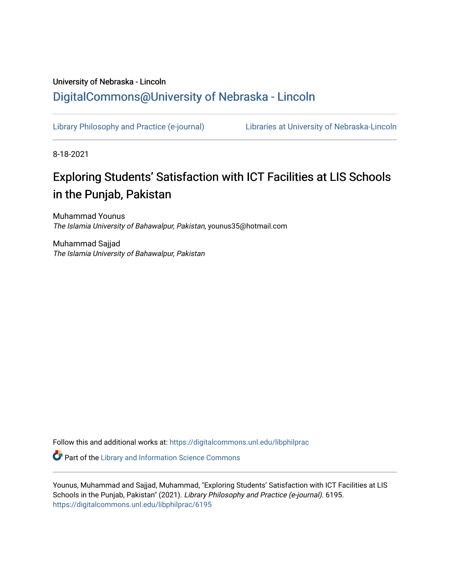## University of Nebraska - Lincoln [DigitalCommons@University of Nebraska - Lincoln](https://digitalcommons.unl.edu/)

[Library Philosophy and Practice \(e-journal\)](https://digitalcommons.unl.edu/libphilprac) [Libraries at University of Nebraska-Lincoln](https://digitalcommons.unl.edu/libraries) 

8-18-2021

# Exploring Students' Satisfaction with ICT Facilities at LIS Schools in the Punjab, Pakistan

Muhammad Younus The Islamia University of Bahawalpur, Pakistan, younus35@hotmail.com

Muhammad Sajjad The Islamia University of Bahawalpur, Pakistan

Follow this and additional works at: [https://digitalcommons.unl.edu/libphilprac](https://digitalcommons.unl.edu/libphilprac?utm_source=digitalcommons.unl.edu%2Flibphilprac%2F6195&utm_medium=PDF&utm_campaign=PDFCoverPages) 

**Part of the Library and Information Science Commons** 

Younus, Muhammad and Sajjad, Muhammad, "Exploring Students' Satisfaction with ICT Facilities at LIS Schools in the Punjab, Pakistan" (2021). Library Philosophy and Practice (e-journal). 6195. [https://digitalcommons.unl.edu/libphilprac/6195](https://digitalcommons.unl.edu/libphilprac/6195?utm_source=digitalcommons.unl.edu%2Flibphilprac%2F6195&utm_medium=PDF&utm_campaign=PDFCoverPages)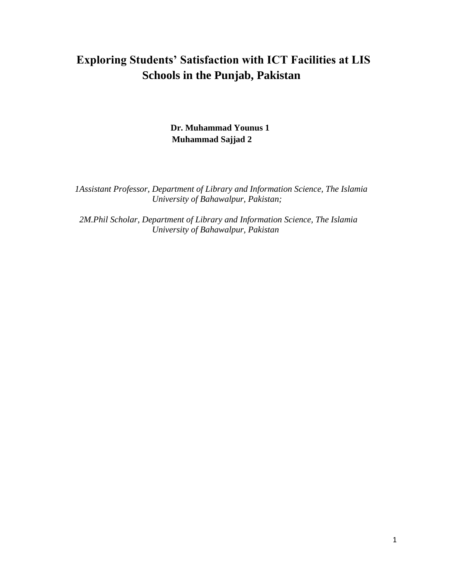# **Exploring Students' Satisfaction with ICT Facilities at LIS Schools in the Punjab, Pakistan**

## **Dr. Muhammad Younus 1 Muhammad Sajjad 2**

 *1Assistant Professor, Department of Library and Information Science, The Islamia University of Bahawalpur, Pakistan;*

 *2M.Phil Scholar, Department of Library and Information Science, The Islamia University of Bahawalpur, Pakistan*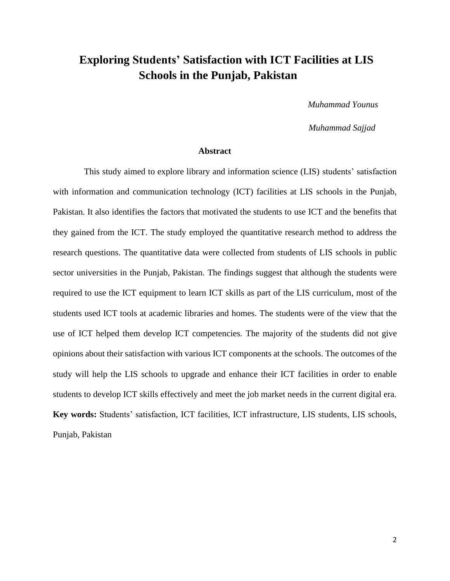## **Exploring Students' Satisfaction with ICT Facilities at LIS Schools in the Punjab, Pakistan**

*Muhammad Younus* 

 *Muhammad Sajjad*

#### **Abstract**

 This study aimed to explore library and information science (LIS) students' satisfaction with information and communication technology (ICT) facilities at LIS schools in the Punjab, Pakistan. It also identifies the factors that motivated the students to use ICT and the benefits that they gained from the ICT. The study employed the quantitative research method to address the research questions. The quantitative data were collected from students of LIS schools in public sector universities in the Punjab, Pakistan. The findings suggest that although the students were required to use the ICT equipment to learn ICT skills as part of the LIS curriculum, most of the students used ICT tools at academic libraries and homes. The students were of the view that the use of ICT helped them develop ICT competencies. The majority of the students did not give opinions about their satisfaction with various ICT components at the schools. The outcomes of the study will help the LIS schools to upgrade and enhance their ICT facilities in order to enable students to develop ICT skills effectively and meet the job market needs in the current digital era. **Key words:** Students' satisfaction, ICT facilities, ICT infrastructure, LIS students, LIS schools, Punjab, Pakistan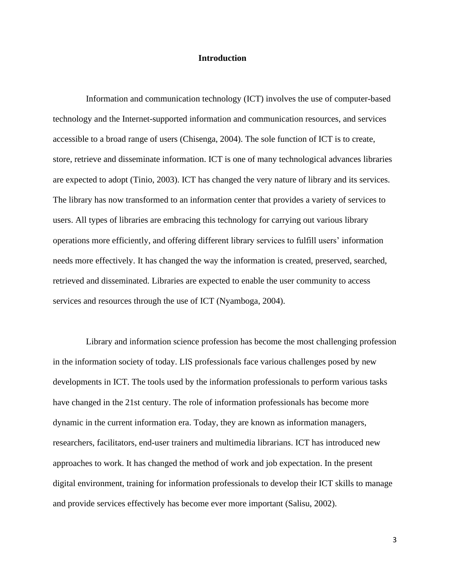#### **Introduction**

 Information and communication technology (ICT) involves the use of computer-based technology and the Internet-supported information and communication resources, and services accessible to a broad range of users (Chisenga, 2004). The sole function of ICT is to create, store, retrieve and disseminate information. ICT is one of many technological advances libraries are expected to adopt (Tinio, 2003). ICT has changed the very nature of library and its services. The library has now transformed to an information center that provides a variety of services to users. All types of libraries are embracing this technology for carrying out various library operations more efficiently, and offering different library services to fulfill users' information needs more effectively. It has changed the way the information is created, preserved, searched, retrieved and disseminated. Libraries are expected to enable the user community to access services and resources through the use of ICT (Nyamboga, 2004).

 Library and information science profession has become the most challenging profession in the information society of today. LIS professionals face various challenges posed by new developments in ICT. The tools used by the information professionals to perform various tasks have changed in the 21st century. The role of information professionals has become more dynamic in the current information era. Today, they are known as information managers, researchers, facilitators, end-user trainers and multimedia librarians. ICT has introduced new approaches to work. It has changed the method of work and job expectation. In the present digital environment, training for information professionals to develop their ICT skills to manage and provide services effectively has become ever more important (Salisu, 2002).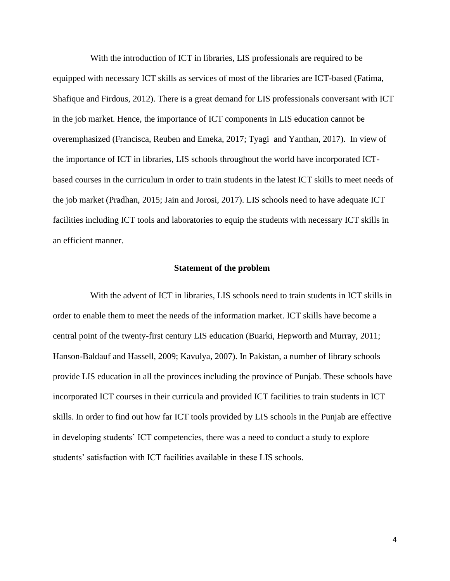With the introduction of ICT in libraries, LIS professionals are required to be equipped with necessary ICT skills as services of most of the libraries are ICT-based (Fatima, Shafique and Firdous, 2012). There is a great demand for LIS professionals conversant with ICT in the job market. Hence, the importance of ICT components in LIS education cannot be overemphasized (Francisca, Reuben and Emeka, 2017; Tyagi and Yanthan, 2017). In view of the importance of ICT in libraries, LIS schools throughout the world have incorporated ICTbased courses in the curriculum in order to train students in the latest ICT skills to meet needs of the job market (Pradhan, 2015; Jain and Jorosi, 2017). LIS schools need to have adequate ICT facilities including ICT tools and laboratories to equip the students with necessary ICT skills in an efficient manner.

#### **Statement of the problem**

 With the advent of ICT in libraries, LIS schools need to train students in ICT skills in order to enable them to meet the needs of the information market. ICT skills have become a central point of the twenty-first century LIS education (Buarki, Hepworth and Murray, 2011; Hanson-Baldauf and Hassell, 2009; Kavulya, 2007). In Pakistan, a number of library schools provide LIS education in all the provinces including the province of Punjab. These schools have incorporated ICT courses in their curricula and provided ICT facilities to train students in ICT skills. In order to find out how far ICT tools provided by LIS schools in the Punjab are effective in developing students' ICT competencies, there was a need to conduct a study to explore students' satisfaction with ICT facilities available in these LIS schools.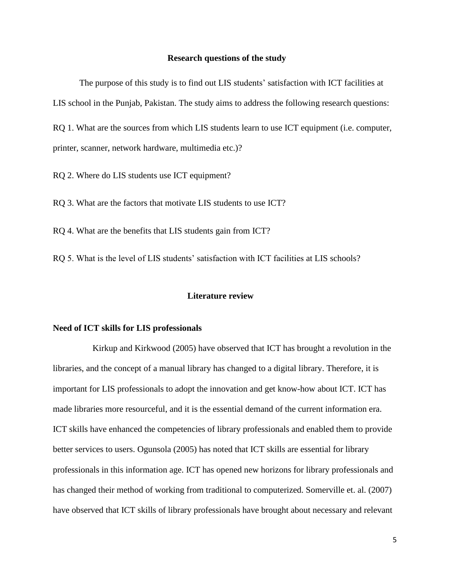### **Research questions of the study**

The purpose of this study is to find out LIS students' satisfaction with ICT facilities at LIS school in the Punjab, Pakistan. The study aims to address the following research questions: RQ 1. What are the sources from which LIS students learn to use ICT equipment (i.e. computer,

printer, scanner, network hardware, multimedia etc.)?

RQ 2. Where do LIS students use ICT equipment?

RQ 3. What are the factors that motivate LIS students to use ICT?

RQ 4. What are the benefits that LIS students gain from ICT?

RQ 5. What is the level of LIS students' satisfaction with ICT facilities at LIS schools?

#### **Literature review**

#### **Need of ICT skills for LIS professionals**

 Kirkup and Kirkwood (2005) have observed that ICT has brought a revolution in the libraries, and the concept of a manual library has changed to a digital library. Therefore, it is important for LIS professionals to adopt the innovation and get know-how about ICT. ICT has made libraries more resourceful, and it is the essential demand of the current information era. ICT skills have enhanced the competencies of library professionals and enabled them to provide better services to users. Ogunsola (2005) has noted that ICT skills are essential for library professionals in this information age. ICT has opened new horizons for library professionals and has changed their method of working from traditional to computerized. Somerville et. al. (2007) have observed that ICT skills of library professionals have brought about necessary and relevant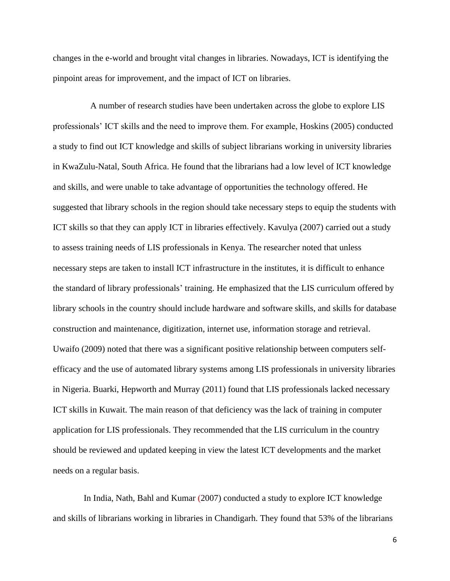changes in the e-world and brought vital changes in libraries. Nowadays, ICT is identifying the pinpoint areas for improvement, and the impact of ICT on libraries.

 A number of research studies have been undertaken across the globe to explore LIS professionals' ICT skills and the need to improve them. For example, Hoskins (2005) conducted a study to find out ICT knowledge and skills of subject librarians working in university libraries in KwaZulu-Natal, South Africa. He found that the librarians had a low level of ICT knowledge and skills, and were unable to take advantage of opportunities the technology offered. He suggested that library schools in the region should take necessary steps to equip the students with ICT skills so that they can apply ICT in libraries effectively. Kavulya (2007) carried out a study to assess training needs of LIS professionals in Kenya. The researcher noted that unless necessary steps are taken to install ICT infrastructure in the institutes, it is difficult to enhance the standard of library professionals' training. He emphasized that the LIS curriculum offered by library schools in the country should include hardware and software skills, and skills for database construction and maintenance, digitization, internet use, information storage and retrieval. Uwaifo (2009) noted that there was a significant positive relationship between computers selfefficacy and the use of automated library systems among LIS professionals in university libraries in Nigeria. Buarki, Hepworth and Murray (2011) found that LIS professionals lacked necessary ICT skills in Kuwait. The main reason of that deficiency was the lack of training in computer application for LIS professionals. They recommended that the LIS curriculum in the country should be reviewed and updated keeping in view the latest ICT developments and the market needs on a regular basis.

 In India, Nath, Bahl and Kumar (2007) conducted a study to explore ICT knowledge and skills of librarians working in libraries in Chandigarh. They found that 53% of the librarians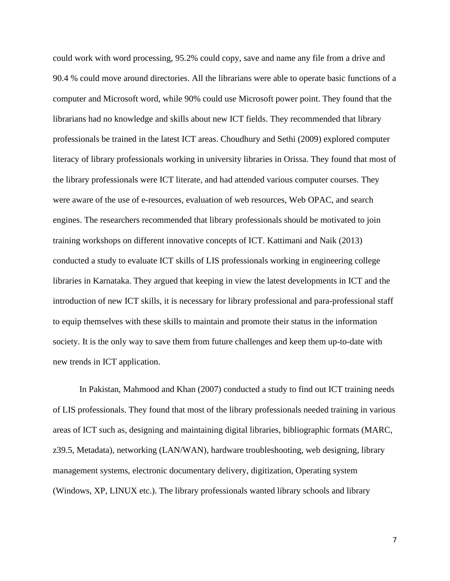could work with word processing, 95.2% could copy, save and name any file from a drive and 90.4 % could move around directories. All the librarians were able to operate basic functions of a computer and Microsoft word, while 90% could use Microsoft power point. They found that the librarians had no knowledge and skills about new ICT fields. They recommended that library professionals be trained in the latest ICT areas. Choudhury and Sethi (2009) explored computer literacy of library professionals working in university libraries in Orissa. They found that most of the library professionals were ICT literate, and had attended various computer courses. They were aware of the use of e-resources, evaluation of web resources, Web OPAC, and search engines. The researchers recommended that library professionals should be motivated to join training workshops on different innovative concepts of ICT. Kattimani and Naik (2013) conducted a study to evaluate ICT skills of LIS professionals working in engineering college libraries in Karnataka. They argued that keeping in view the latest developments in ICT and the introduction of new ICT skills, it is necessary for library professional and para-professional staff to equip themselves with these skills to maintain and promote their status in the information society. It is the only way to save them from future challenges and keep them up-to-date with new trends in ICT application.

In Pakistan, Mahmood and Khan (2007) conducted a study to find out ICT training needs of LIS professionals. They found that most of the library professionals needed training in various areas of ICT such as, designing and maintaining digital libraries, bibliographic formats (MARC, z39.5, Metadata), networking (LAN/WAN), hardware troubleshooting, web designing, library management systems, electronic documentary delivery, digitization, Operating system (Windows, XP, LINUX etc.). The library professionals wanted library schools and library

7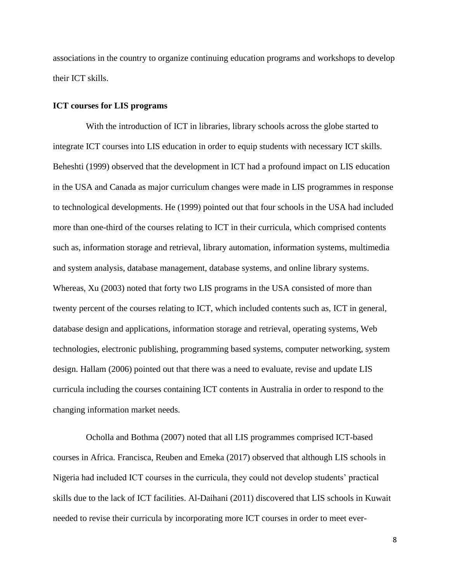associations in the country to organize continuing education programs and workshops to develop their ICT skills.

### **ICT courses for LIS programs**

With the introduction of ICT in libraries, library schools across the globe started to integrate ICT courses into LIS education in order to equip students with necessary ICT skills. Beheshti (1999) observed that the development in ICT had a profound impact on LIS education in the USA and Canada as major curriculum changes were made in LIS programmes in response to technological developments. He (1999) pointed out that four schools in the USA had included more than one-third of the courses relating to ICT in their curricula, which comprised contents such as, information storage and retrieval, library automation, information systems, multimedia and system analysis, database management, database systems, and online library systems. Whereas, Xu (2003) noted that forty two LIS programs in the USA consisted of more than twenty percent of the courses relating to ICT, which included contents such as, ICT in general, database design and applications, information storage and retrieval, operating systems, Web technologies, electronic publishing, programming based systems, computer networking, system design. Hallam (2006) pointed out that there was a need to evaluate, revise and update LIS curricula including the courses containing ICT contents in Australia in order to respond to the changing information market needs.

 Ocholla and Bothma (2007) noted that all LIS programmes comprised ICT-based courses in Africa. Francisca, Reuben and Emeka (2017) observed that although LIS schools in Nigeria had included ICT courses in the curricula, they could not develop students' practical skills due to the lack of ICT facilities. Al-Daihani (2011) discovered that LIS schools in Kuwait needed to revise their curricula by incorporating more ICT courses in order to meet ever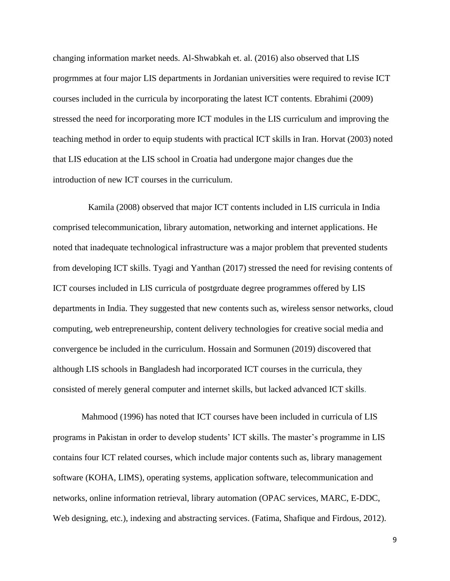changing information market needs. Al-Shwabkah et. al. (2016) also observed that LIS progrmmes at four major LIS departments in Jordanian universities were required to revise ICT courses included in the curricula by incorporating the latest ICT contents. Ebrahimi (2009) stressed the need for incorporating more ICT modules in the LIS curriculum and improving the teaching method in order to equip students with practical ICT skills in Iran. Horvat (2003) noted that LIS education at the LIS school in Croatia had undergone major changes due the introduction of new ICT courses in the curriculum.

 Kamila (2008) observed that major ICT contents included in LIS curricula in India comprised telecommunication, library automation, networking and internet applications. He noted that inadequate technological infrastructure was a major problem that prevented students from developing ICT skills. Tyagi and Yanthan (2017) stressed the need for revising contents of ICT courses included in LIS curricula of postgrduate degree programmes offered by LIS departments in India. They suggested that new contents such as, wireless sensor networks, cloud computing, web entrepreneurship, content delivery technologies for creative social media and convergence be included in the curriculum. Hossain and Sormunen (2019) discovered that although LIS schools in Bangladesh had incorporated ICT courses in the curricula, they consisted of merely general computer and internet skills, but lacked advanced ICT skills.

 Mahmood (1996) has noted that ICT courses have been included in curricula of LIS programs in Pakistan in order to develop students' ICT skills. The master's programme in LIS contains four ICT related courses, which include major contents such as, library management software (KOHA, LIMS), operating systems, application software, telecommunication and networks, online information retrieval, library automation (OPAC services, MARC, E-DDC, Web designing, etc.), indexing and abstracting services. (Fatima, Shafique and Firdous, 2012).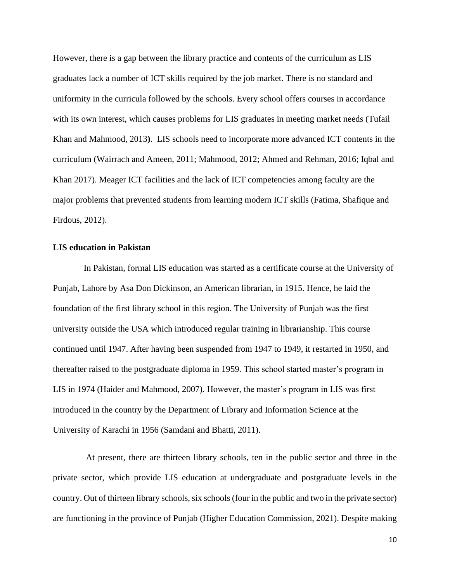However, there is a gap between the library practice and contents of the curriculum as LIS graduates lack a number of ICT skills required by the job market. There is no standard and uniformity in the curricula followed by the schools. Every school offers courses in accordance with its own interest, which causes problems for LIS graduates in meeting market needs (Tufail Khan and Mahmood, 2013**)**. LIS schools need to incorporate more advanced ICT contents in the curriculum (Wairrach and Ameen, 2011; Mahmood, 2012; Ahmed and Rehman, 2016; Iqbal and Khan 2017). Meager ICT facilities and the lack of ICT competencies among faculty are the major problems that prevented students from learning modern ICT skills (Fatima, Shafique and Firdous, 2012).

#### **LIS education in Pakistan**

 In Pakistan, formal LIS education was started as a certificate course at the University of Punjab, Lahore by Asa Don Dickinson, an American librarian, in 1915. Hence, he laid the foundation of the first library school in this region. The University of Punjab was the first university outside the USA which introduced regular training in librarianship. This course continued until 1947. After having been suspended from 1947 to 1949, it restarted in 1950, and thereafter raised to the postgraduate diploma in 1959. This school started master's program in LIS in 1974 (Haider and Mahmood, 2007). However, the master's program in LIS was first introduced in the country by the Department of Library and Information Science at the University of Karachi in 1956 (Samdani and Bhatti, 2011).

 At present, there are thirteen library schools, ten in the public sector and three in the private sector, which provide LIS education at undergraduate and postgraduate levels in the country. Out of thirteen library schools, six schools (four in the public and two in the private sector) are functioning in the province of Punjab (Higher Education Commission, 2021). Despite making

10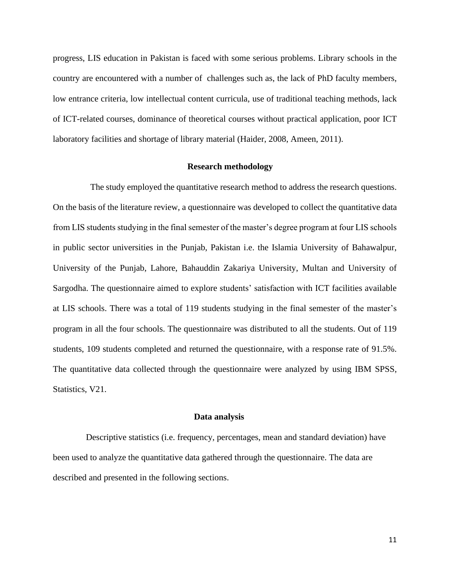progress, LIS education in Pakistan is faced with some serious problems. Library schools in the country are encountered with a number of challenges such as, the lack of PhD faculty members, low entrance criteria, low intellectual content curricula, use of traditional teaching methods, lack of ICT-related courses, dominance of theoretical courses without practical application, poor ICT laboratory facilities and shortage of library material (Haider, 2008, Ameen, 2011).

#### **Research methodology**

 The study employed the quantitative research method to address the research questions. On the basis of the literature review, a questionnaire was developed to collect the quantitative data from LIS students studying in the final semester of the master's degree program at four LIS schools in public sector universities in the Punjab, Pakistan i.e. the Islamia University of Bahawalpur, University of the Punjab, Lahore, Bahauddin Zakariya University, Multan and University of Sargodha. The questionnaire aimed to explore students' satisfaction with ICT facilities available at LIS schools. There was a total of 119 students studying in the final semester of the master's program in all the four schools. The questionnaire was distributed to all the students. Out of 119 students, 109 students completed and returned the questionnaire, with a response rate of 91.5%. The quantitative data collected through the questionnaire were analyzed by using IBM SPSS, Statistics, V21.

#### **Data analysis**

 Descriptive statistics (i.e. frequency, percentages, mean and standard deviation) have been used to analyze the quantitative data gathered through the questionnaire. The data are described and presented in the following sections.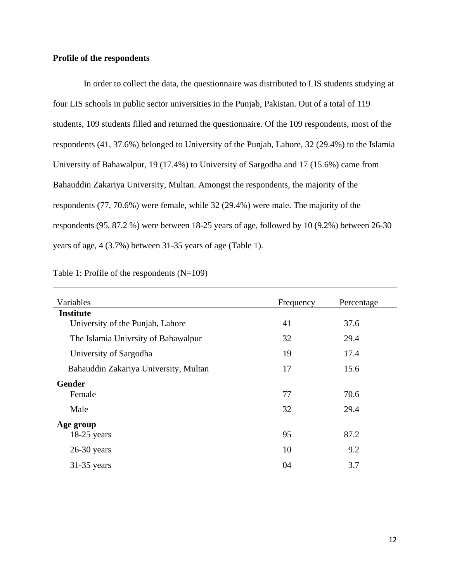## **Profile of the respondents**

 In order to collect the data, the questionnaire was distributed to LIS students studying at four LIS schools in public sector universities in the Punjab, Pakistan. Out of a total of 119 students, 109 students filled and returned the questionnaire. Of the 109 respondents, most of the respondents (41, 37.6%) belonged to University of the Punjab, Lahore, 32 (29.4%) to the Islamia University of Bahawalpur, 19 (17.4%) to University of Sargodha and 17 (15.6%) came from Bahauddin Zakariya University, Multan. Amongst the respondents, the majority of the respondents (77, 70.6%) were female, while 32 (29.4%) were male. The majority of the respondents (95, 87.2 %) were between 18-25 years of age, followed by 10 (9.2%) between 26-30 years of age, 4 (3.7%) between 31-35 years of age (Table 1).

|  |  | Table 1: Profile of the respondents $(N=109)$ |  |  |
|--|--|-----------------------------------------------|--|--|
|--|--|-----------------------------------------------|--|--|

| Variables                             | Frequency | Percentage |
|---------------------------------------|-----------|------------|
| <b>Institute</b>                      |           |            |
| University of the Punjab, Lahore      | 41        | 37.6       |
| The Islamia Univrsity of Bahawalpur   | 32        | 29.4       |
| University of Sargodha                | 19        | 17.4       |
| Bahauddin Zakariya University, Multan | 17        | 15.6       |
| <b>Gender</b>                         |           |            |
| Female                                | 77        | 70.6       |
| Male                                  | 32        | 29.4       |
| Age group                             |           |            |
| $18-25$ years                         | 95        | 87.2       |
| $26-30$ years                         | 10        | 9.2        |
| $31-35$ years                         | 04        | 3.7        |
|                                       |           |            |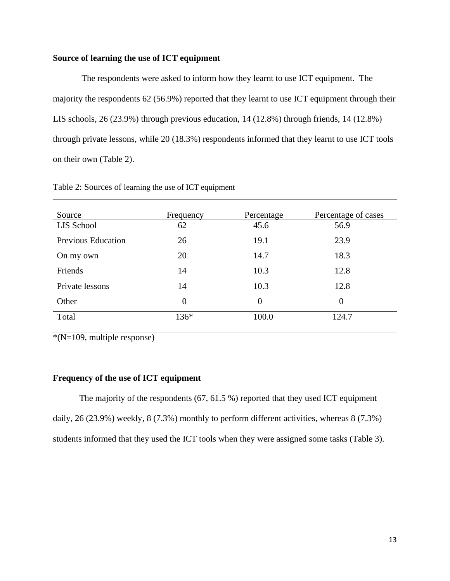## **Source of learning the use of ICT equipment**

 The respondents were asked to inform how they learnt to use ICT equipment. The majority the respondents 62 (56.9%) reported that they learnt to use ICT equipment through their LIS schools, 26 (23.9%) through previous education, 14 (12.8%) through friends, 14 (12.8%) through private lessons, while 20 (18.3%) respondents informed that they learnt to use ICT tools on their own (Table 2).

| Source                    | Frequency      | Percentage     | Percentage of cases |
|---------------------------|----------------|----------------|---------------------|
| LIS School                | 62             | 45.6           | 56.9                |
| <b>Previous Education</b> | 26             | 19.1           | 23.9                |
| On my own                 | 20             | 14.7           | 18.3                |
| Friends                   | 14             | 10.3           | 12.8                |
| Private lessons           | 14             | 10.3           | 12.8                |
| Other                     | $\overline{0}$ | $\overline{0}$ | $\overline{0}$      |
| Total                     | 136*           | 100.0          | 124.7               |

Table 2: Sources of learning the use of ICT equipment

 $*(N=109, \text{multiple response})$ 

#### **Frequency of the use of ICT equipment**

The majority of the respondents (67, 61.5 %) reported that they used ICT equipment daily, 26 (23.9%) weekly, 8 (7.3%) monthly to perform different activities, whereas 8 (7.3%) students informed that they used the ICT tools when they were assigned some tasks (Table 3).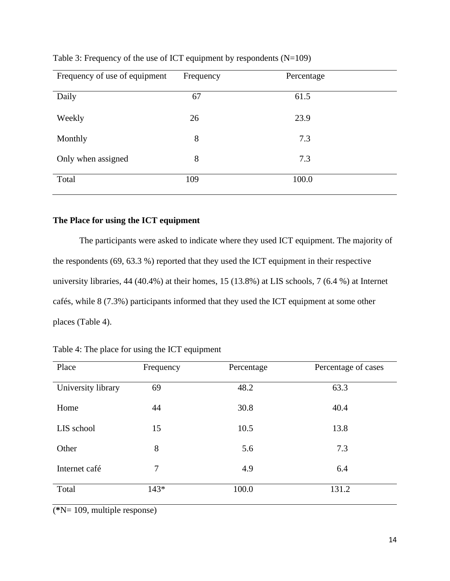| Frequency of use of equipment | Frequency | Percentage |
|-------------------------------|-----------|------------|
| Daily                         | 67        | 61.5       |
| Weekly                        | 26        | 23.9       |
| Monthly                       | 8         | 7.3        |
| Only when assigned            | 8         | 7.3        |
| Total                         | 109       | 100.0      |

Table 3: Frequency of the use of ICT equipment by respondents (N=109)

## **The Place for using the ICT equipment**

The participants were asked to indicate where they used ICT equipment. The majority of the respondents (69, 63.3 %) reported that they used the ICT equipment in their respective university libraries, 44 (40.4%) at their homes, 15 (13.8%) at LIS schools, 7 (6.4 %) at Internet cafés, while 8 (7.3%) participants informed that they used the ICT equipment at some other places (Table 4).

| Place              | Frequency | Percentage | Percentage of cases |
|--------------------|-----------|------------|---------------------|
| University library | 69        | 48.2       | 63.3                |
| Home               | 44        | 30.8       | 40.4                |
| LIS school         | 15        | 10.5       | 13.8                |
| Other              | 8         | 5.6        | 7.3                 |
| Internet café      | 7         | 4.9        | 6.4                 |
| Total              | $143*$    | 100.0      | 131.2               |

Table 4: The place for using the ICT equipment

(**\***N= 109, multiple response)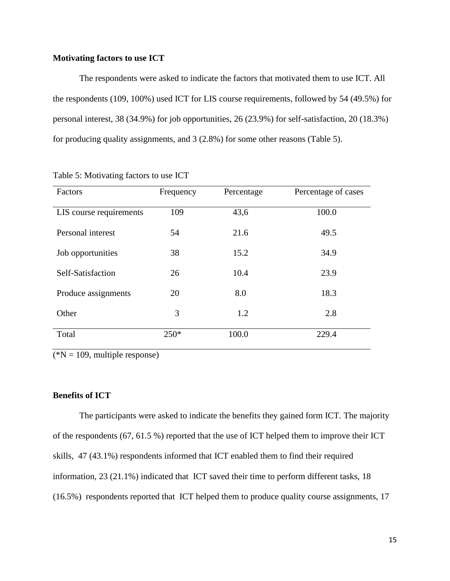#### **Motivating factors to use ICT**

The respondents were asked to indicate the factors that motivated them to use ICT. All the respondents (109, 100%) used ICT for LIS course requirements, followed by 54 (49.5%) for personal interest, 38 (34.9%) for job opportunities, 26 (23.9%) for self-satisfaction, 20 (18.3%) for producing quality assignments, and 3 (2.8%) for some other reasons (Table 5).

| Factors                 | Frequency | Percentage | Percentage of cases |
|-------------------------|-----------|------------|---------------------|
| LIS course requirements | 109       | 43,6       | 100.0               |
| Personal interest       | 54        | 21.6       | 49.5                |
| Job opportunities       | 38        | 15.2       | 34.9                |
| Self-Satisfaction       | 26        | 10.4       | 23.9                |
| Produce assignments     | 20        | 8.0        | 18.3                |
| Other                   | 3         | 1.2        | 2.8                 |
| Total                   | $250*$    | 100.0      | 229.4               |

Table 5: Motivating factors to use ICT

 $(kN = 109,$  multiple response)

### **Benefits of ICT**

The participants were asked to indicate the benefits they gained form ICT. The majority of the respondents (67, 61.5 %) reported that the use of ICT helped them to improve their ICT skills, 47 (43.1%) respondents informed that ICT enabled them to find their required information, 23 (21.1%) indicated that ICT saved their time to perform different tasks, 18 (16.5%) respondents reported that ICT helped them to produce quality course assignments, 17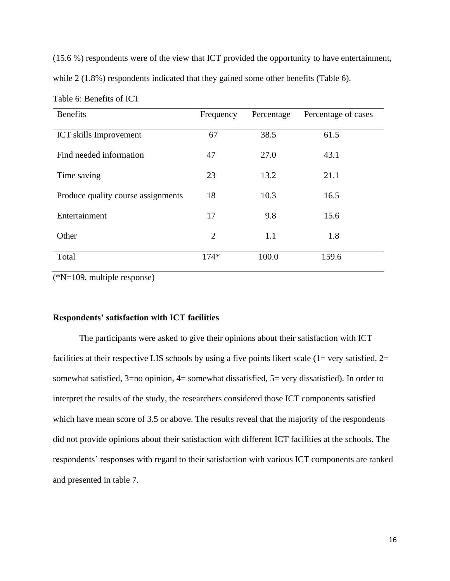(15.6 %) respondents were of the view that ICT provided the opportunity to have entertainment,

while 2 (1.8%) respondents indicated that they gained some other benefits (Table 6).

| <b>Benefits</b>                    | Percentage<br>Frequency |       | Percentage of cases |
|------------------------------------|-------------------------|-------|---------------------|
| <b>ICT</b> skills Improvement      | 67                      | 38.5  | 61.5                |
| Find needed information            | 47                      | 27.0  | 43.1                |
| Time saving                        | 23                      | 13.2  | 21.1                |
| Produce quality course assignments | 18                      | 10.3  | 16.5                |
| Entertainment                      | 17                      | 9.8   | 15.6                |
| Other                              | $\overline{2}$          | 1.1   | 1.8                 |
| Total                              | $174*$                  | 100.0 | 159.6               |

Table 6: Benefits of ICT

(\*N=109, multiple response)

#### **Respondents' satisfaction with ICT facilities**

The participants were asked to give their opinions about their satisfaction with ICT facilities at their respective LIS schools by using a five points likert scale  $(1=$  very satisfied,  $2=$ somewhat satisfied, 3=no opinion, 4= somewhat dissatisfied, 5= very dissatisfied). In order to interpret the results of the study, the researchers considered those ICT components satisfied which have mean score of 3.5 or above. The results reveal that the majority of the respondents did not provide opinions about their satisfaction with different ICT facilities at the schools. The respondents' responses with regard to their satisfaction with various ICT components are ranked and presented in table 7.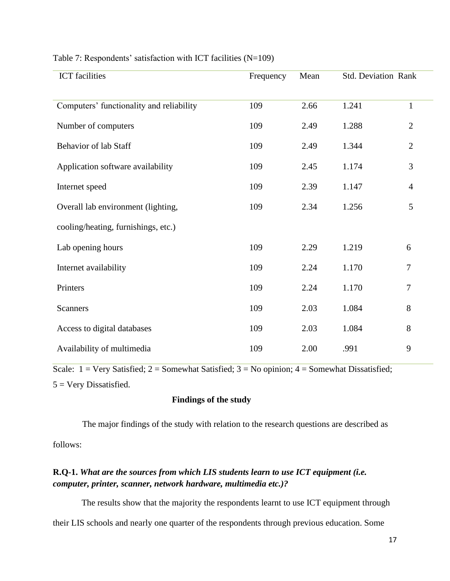| <b>ICT</b> facilities                    | Frequency | Mean | <b>Std. Deviation Rank</b> |                |
|------------------------------------------|-----------|------|----------------------------|----------------|
| Computers' functionality and reliability | 109       | 2.66 | 1.241                      | $\mathbf{1}$   |
| Number of computers                      | 109       | 2.49 | 1.288                      | $\overline{2}$ |
| <b>Behavior of lab Staff</b>             | 109       | 2.49 | 1.344                      | $\overline{2}$ |
| Application software availability        | 109       | 2.45 | 1.174                      | 3              |
| Internet speed                           | 109       | 2.39 | 1.147                      | $\overline{4}$ |
| Overall lab environment (lighting,       | 109       | 2.34 | 1.256                      | 5              |
| cooling/heating, furnishings, etc.)      |           |      |                            |                |
| Lab opening hours                        | 109       | 2.29 | 1.219                      | 6              |
| Internet availability                    | 109       | 2.24 | 1.170                      | $\tau$         |
| Printers                                 | 109       | 2.24 | 1.170                      | 7              |
| <b>Scanners</b>                          | 109       | 2.03 | 1.084                      | $8\,$          |
| Access to digital databases              | 109       | 2.03 | 1.084                      | 8              |
| Availability of multimedia               | 109       | 2.00 | .991                       | 9              |

#### Table 7: Respondents' satisfaction with ICT facilities (N=109)

Scale:  $1 = \text{Very Satisfied}$ ;  $2 = \text{Somewhat Satisfied}$ ;  $3 = \text{No opinion}$ ;  $4 = \text{Somewhat Dissatisfied}$ ; 5 = Very Dissatisfied.

### **Findings of the study**

 The major findings of the study with relation to the research questions are described as follows:

## **R.Q-1.** *What are the sources from which LIS students learn to use ICT equipment (i.e. computer, printer, scanner, network hardware, multimedia etc.)?*

 The results show that the majority the respondents learnt to use ICT equipment through their LIS schools and nearly one quarter of the respondents through previous education. Some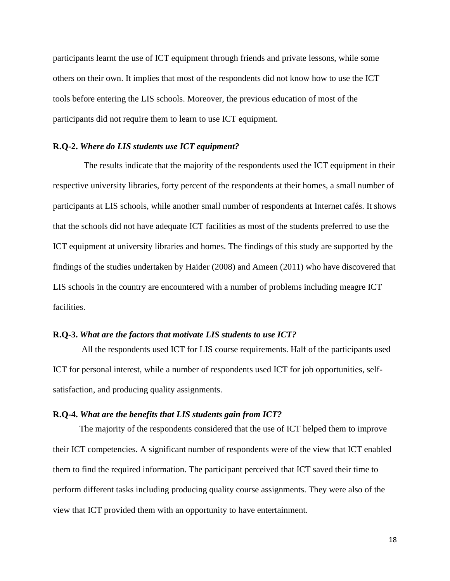participants learnt the use of ICT equipment through friends and private lessons, while some others on their own. It implies that most of the respondents did not know how to use the ICT tools before entering the LIS schools. Moreover, the previous education of most of the participants did not require them to learn to use ICT equipment.

#### **R.Q-2.** *Where do LIS students use ICT equipment?*

The results indicate that the majority of the respondents used the ICT equipment in their respective university libraries, forty percent of the respondents at their homes, a small number of participants at LIS schools, while another small number of respondents at Internet cafés. It shows that the schools did not have adequate ICT facilities as most of the students preferred to use the ICT equipment at university libraries and homes. The findings of this study are supported by the findings of the studies undertaken by Haider (2008) and Ameen (2011) who have discovered that LIS schools in the country are encountered with a number of problems including meagre ICT facilities.

#### **R.Q-3.** *What are the factors that motivate LIS students to use ICT?*

 All the respondents used ICT for LIS course requirements. Half of the participants used ICT for personal interest, while a number of respondents used ICT for job opportunities, selfsatisfaction, and producing quality assignments.

#### **R.Q-4.** *What are the benefits that LIS students gain from ICT?*

The majority of the respondents considered that the use of ICT helped them to improve their ICT competencies. A significant number of respondents were of the view that ICT enabled them to find the required information. The participant perceived that ICT saved their time to perform different tasks including producing quality course assignments. They were also of the view that ICT provided them with an opportunity to have entertainment.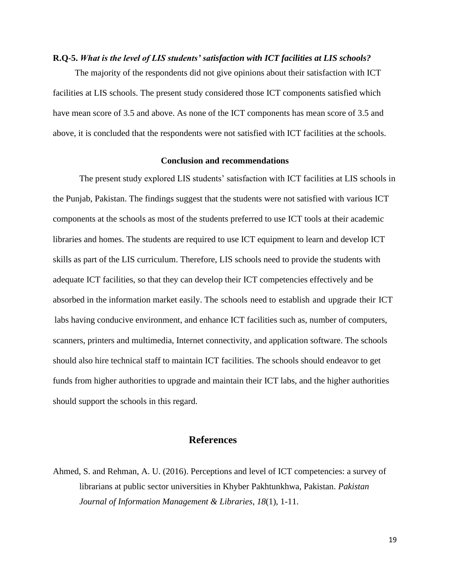#### **R.Q-5.** *What is the level of LIS students' satisfaction with ICT facilities at LIS schools?*

The majority of the respondents did not give opinions about their satisfaction with ICT facilities at LIS schools. The present study considered those ICT components satisfied which have mean score of 3.5 and above. As none of the ICT components has mean score of 3.5 and above, it is concluded that the respondents were not satisfied with ICT facilities at the schools.

#### **Conclusion and recommendations**

The present study explored LIS students' satisfaction with ICT facilities at LIS schools in the Punjab, Pakistan. The findings suggest that the students were not satisfied with various ICT components at the schools as most of the students preferred to use ICT tools at their academic libraries and homes. The students are required to use ICT equipment to learn and develop ICT skills as part of the LIS curriculum. Therefore, LIS schools need to provide the students with adequate ICT facilities, so that they can develop their ICT competencies effectively and be absorbed in the information market easily. The schools need to establish and upgrade their ICT labs having conducive environment, and enhance ICT facilities such as, number of computers, scanners, printers and multimedia, Internet connectivity, and application software. The schools should also hire technical staff to maintain ICT facilities. The schools should endeavor to get funds from higher authorities to upgrade and maintain their ICT labs, and the higher authorities should support the schools in this regard.

## **References**

Ahmed, S. and Rehman, A. U. (2016). Perceptions and level of ICT competencies: a survey of librarians at public sector universities in Khyber Pakhtunkhwa, Pakistan. *Pakistan Journal of Information Management & Libraries*, *18*(1), 1-11.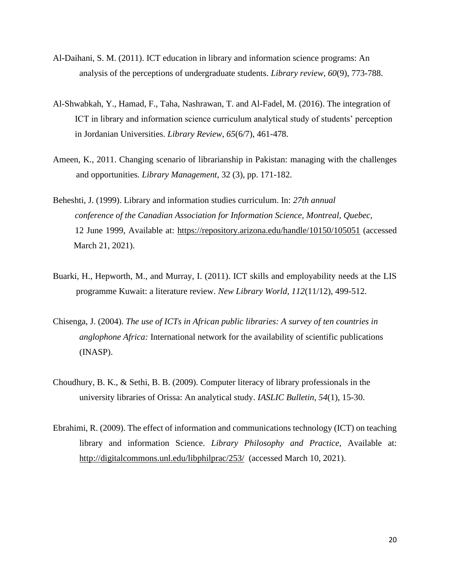- Al-Daihani, S. M. (2011). ICT education in library and information science programs: An analysis of the perceptions of undergraduate students. *Library review*, *60*(9), 773-788.
- Al-Shwabkah, Y., Hamad, F., Taha, Nashrawan, T. and Al-Fadel, M. (2016). The integration of ICT in library and information science curriculum analytical study of students' perception in Jordanian Universities. *Library Review*, *65*(6/7), 461-478.
- Ameen, K., 2011. Changing scenario of librarianship in Pakistan: managing with the challenges and opportunities*. Library Management*, 32 (3), pp. 171-182.
- Beheshti, J. (1999). Library and information studies curriculum. In: *27th annual conference of the Canadian Association for Information Science, Montreal, Quebec,* 12 June 1999, Available at:<https://repository.arizona.edu/handle/10150/105051> (accessed March 21, 2021).
- Buarki, H., Hepworth, M., and Murray, I. (2011). ICT skills and employability needs at the LIS programme Kuwait: a literature review. *New Library World, 112*(11/12), 499-512.
- Chisenga, J. (2004). *The use of ICTs in African public libraries: A survey of ten countries in anglophone Africa:* International network for the availability of scientific publications (INASP).
- Choudhury, B. K., & Sethi, B. B. (2009). Computer literacy of library professionals in the university libraries of Orissa: An analytical study. *IASLIC Bulletin*, *54*(1), 15-30.
- Ebrahimi, R. (2009). The effect of information and communications technology (ICT) on teaching library and information Science. *Library Philosophy and Practice*, Available at: <http://digitalcommons.unl.edu/libphilprac/253/>(accessed March 10, 2021).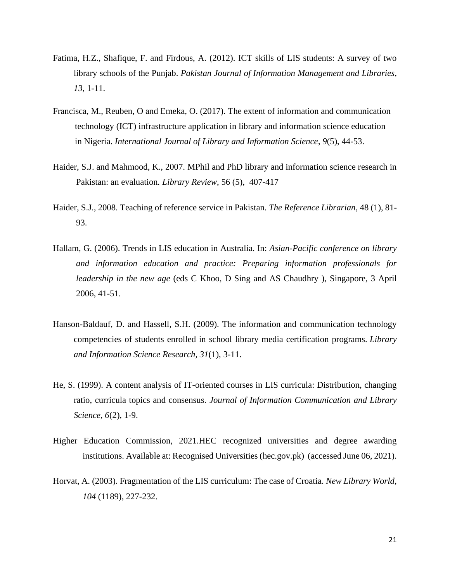- Fatima, H.Z., Shafique, F. and Firdous, A. (2012). ICT skills of LIS students: A survey of two library schools of the Punjab. *Pakistan Journal of Information Management and Libraries, 13*, 1-11.
- Francisca, M., Reuben, O and Emeka, O. (2017). The extent of information and communication technology (ICT) infrastructure application in library and information science education in Nigeria. *International Journal of Library and Information Science*, *9*(5), 44-53.
- Haider, S.J. and Mahmood, K., 2007. MPhil and PhD library and information science research in Pakistan: an evaluation*. Library Review*, 56 (5), 407-417
- Haider, S.J., 2008. Teaching of reference service in Pakistan*. The Reference Librarian*, 48 (1), 81- 93.
- Hallam, G. (2006). Trends in LIS education in Australia. In: *Asian-Pacific conference on library and information education and practice: Preparing information professionals for leadership in the new age* (eds C Khoo, D Sing and AS Chaudhry ), Singapore, 3 April 2006, 41-51.
- Hanson-Baldauf, D. and Hassell, S.H. (2009). The information and communication technology competencies of students enrolled in school library media certification programs. *Library and Information Science Research, 31*(1), 3-11.
- He, S. (1999). A content analysis of IT-oriented courses in LIS curricula: Distribution, changing ratio, curricula topics and consensus. *Journal of Information Communication and Library Science, 6*(2), 1-9.
- Higher Education Commission, 2021.HEC recognized universities and degree awarding institutions. Available at[: Recognised Universities \(hec.gov.pk\)](https://www.hec.gov.pk/english/universities/Pages/recognised.aspx) (accessed June 06, 2021).
- Horvat, A. (2003). Fragmentation of the LIS curriculum: The case of Croatia. *New Library World, 104* (1189), 227-232.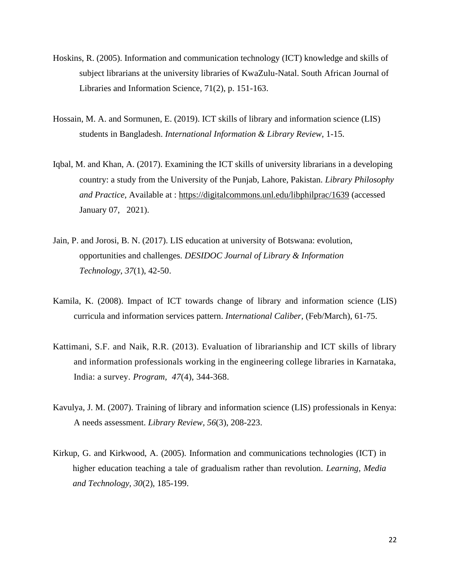- Hoskins, R. (2005). Information and communication technology (ICT) knowledge and skills of subject librarians at the university libraries of KwaZulu-Natal. South African Journal of Libraries and Information Science, 71(2), p. 151-163.
- Hossain, M. A. and Sormunen, E. (2019). ICT skills of library and information science (LIS) students in Bangladesh. *International Information & Library Review*, 1-15.
- Iqbal, M. and Khan, A. (2017). Examining the ICT skills of university librarians in a developing country: a study from the University of the Punjab, Lahore, Pakistan. *Library Philosophy and Practice,* Available at :<https://digitalcommons.unl.edu/libphilprac/1639> (accessed January 07, 2021).
- Jain, P. and Jorosi, B. N. (2017). LIS education at university of Botswana: evolution, opportunities and challenges. *DESIDOC Journal of Library & Information Technology*, *37*(1), 42-50.
- Kamila, K. (2008). Impact of ICT towards change of library and information science (LIS) curricula and information services pattern. *International Caliber,* (Feb/March), 61-75.
- Kattimani, S.F. and Naik, R.R. (2013). Evaluation of librarianship and ICT skills of library and information professionals working in the engineering college libraries in Karnataka, India: a survey. *Program, 47*(4), 344-368.
- Kavulya, J. M. (2007). Training of library and information science (LIS) professionals in Kenya: A needs assessment. *Library Review, 56*(3), 208-223.
- Kirkup, G. and Kirkwood, A. (2005). Information and communications technologies (ICT) in higher education teaching a tale of gradualism rather than revolution. *Learning, Media and Technology, 30*(2), 185-199.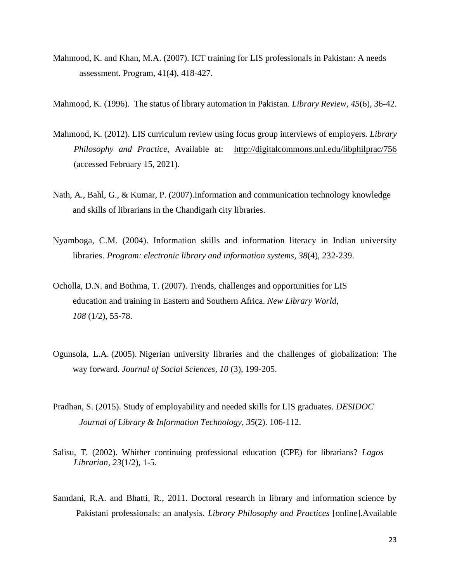- Mahmood, K. and Khan, M.A. (2007). ICT training for LIS professionals in Pakistan: A needs assessment. Program, 41(4), 418-427.
- Mahmood, K. (1996). The status of library automation in Pakistan. *Library Review, 45*(6), 36-42.
- Mahmood, K. (2012). LIS curriculum review using focus group interviews of employers. *Library Philosophy and Practice*, Available at: <http://digitalcommons.unl.edu/libphilprac/756> (accessed February 15, 2021).
- Nath, A., Bahl, G., & Kumar, P. (2007).Information and communication technology knowledge and skills of librarians in the Chandigarh city libraries.
- Nyamboga, C.M. (2004). Information skills and information literacy in Indian university libraries. *Program: electronic library and information systems, 38*(4), 232-239.
- Ocholla, D.N. and Bothma, T. (2007). Trends, challenges and opportunities for LIS education and training in Eastern and Southern Africa. *New Library World, 108* (1/2), 55-78.
- Ogunsola, L.A. (2005). Nigerian university libraries and the challenges of globalization: The way forward. *Journal of Social Sciences, 10* (3), 199-205.
- Pradhan, S. (2015). Study of employability and needed skills for LIS graduates. *DESIDOC Journal of Library & Information Technology*, *35*(2). 106-112.
- Salisu, T. (2002). Whither continuing professional education (CPE) for librarians? *Lagos Librarian, 23*(1/2), 1-5.
- Samdani, R.A. and Bhatti, R., 2011. Doctoral research in library and information science by Pakistani professionals: an analysis*. Library Philosophy and Practices* [online].Available